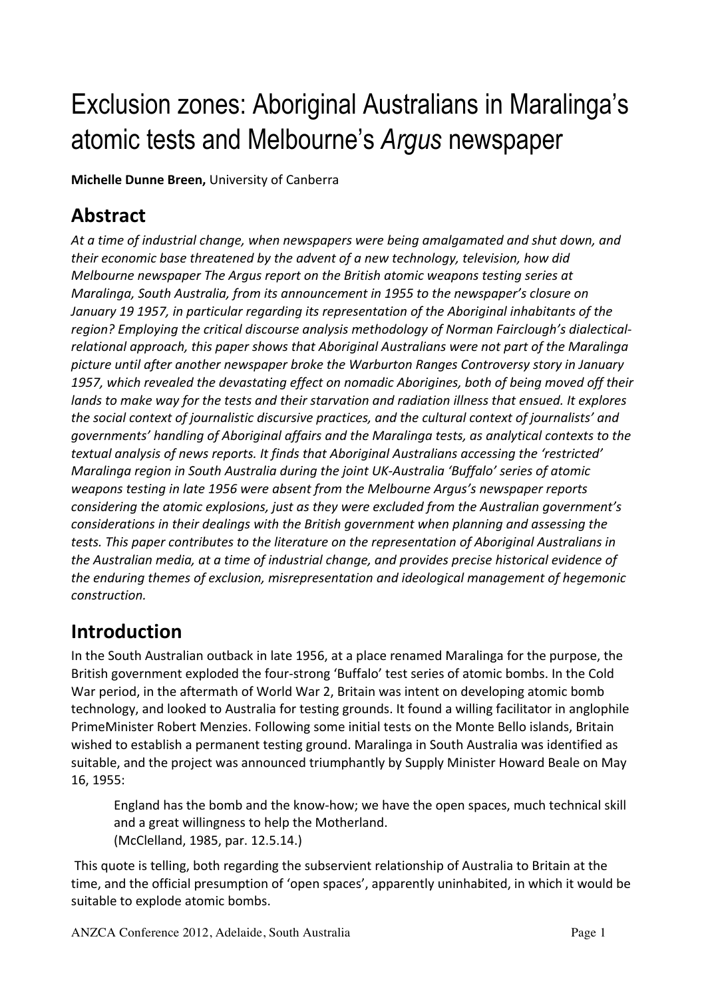# Exclusion zones: Aboriginal Australians in Maralinga's atomic tests and Melbourne's *Argus* newspaper

**Michelle Dunne Breen, University of Canberra** 

### **Abstract**

At a time of industrial change, when newspapers were being amalgamated and shut down, and *their economic base threatened by the advent of a new technology, television, how did Melbourne newspaper The Argus report on the British atomic weapons testing series at Maralinga, South Australia, from its announcement in 1955 to the newspaper's closure on* January 19 1957, in particular regarding its representation of the Aboriginal inhabitants of the region? Employing the critical discourse analysis methodology of Norman Fairclough's dialecticalrelational approach, this paper shows that Aboriginal Australians were not part of the Maralinga picture until after another newspaper broke the Warburton Ranges Controversy story in January 1957, which revealed the devastating effect on nomadic Aborigines, both of being moved off their *lands* to make way for the tests and their starvation and radiation illness that ensued. It explores *the social context of journalistic discursive practices, and the cultural context of journalists' and governments' handling of Aboriginal affairs and the Maralinga tests, as analytical contexts to the* textual analysis of news reports. It finds that Aboriginal Australians accessing the 'restricted' *Maralinga region in South Australia during the joint UK-Australia 'Buffalo' series of atomic weapons testing in late 1956 were absent from the Melbourne Argus's newspaper reports considering the atomic explosions, just as they were excluded from the Australian government's considerations in their dealings with the British government when planning and assessing the tests.* This paper contributes to the literature on the representation of Aboriginal Australians in the Australian media, at a time of industrial change, and provides precise historical evidence of *the enduring themes of exclusion, misrepresentation and ideological management of hegemonic construction.*

### **Introduction**

In the South Australian outback in late 1956, at a place renamed Maralinga for the purpose, the British government exploded the four-strong 'Buffalo' test series of atomic bombs. In the Cold War period, in the aftermath of World War 2, Britain was intent on developing atomic bomb technology, and looked to Australia for testing grounds. It found a willing facilitator in anglophile PrimeMinister Robert Menzies. Following some initial tests on the Monte Bello islands, Britain wished to establish a permanent testing ground. Maralinga in South Australia was identified as suitable, and the project was announced triumphantly by Supply Minister Howard Beale on May 16, 1955:

England has the bomb and the know-how; we have the open spaces, much technical skill and a great willingness to help the Motherland. (McClelland, 1985, par. 12.5.14.)

This quote is telling, both regarding the subservient relationship of Australia to Britain at the time, and the official presumption of 'open spaces', apparently uninhabited, in which it would be suitable to explode atomic bombs.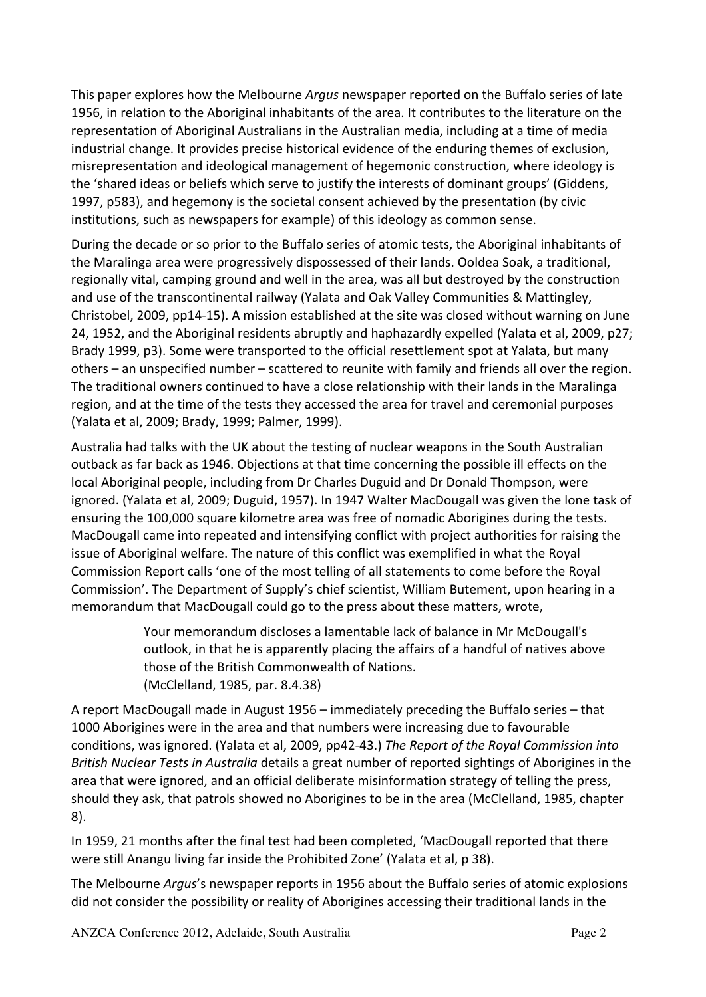This paper explores how the Melbourne *Argus* newspaper reported on the Buffalo series of late 1956, in relation to the Aboriginal inhabitants of the area. It contributes to the literature on the representation of Aboriginal Australians in the Australian media, including at a time of media industrial change. It provides precise historical evidence of the enduring themes of exclusion, misrepresentation and ideological management of hegemonic construction, where ideology is the 'shared ideas or beliefs which serve to justify the interests of dominant groups' (Giddens, 1997, p583), and hegemony is the societal consent achieved by the presentation (by civic institutions, such as newspapers for example) of this ideology as common sense.

During the decade or so prior to the Buffalo series of atomic tests, the Aboriginal inhabitants of the Maralinga area were progressively dispossessed of their lands. Ooldea Soak, a traditional, regionally vital, camping ground and well in the area, was all but destroyed by the construction and use of the transcontinental railway (Yalata and Oak Valley Communities & Mattingley, Christobel, 2009, pp14-15). A mission established at the site was closed without warning on June 24, 1952, and the Aboriginal residents abruptly and haphazardly expelled (Yalata et al, 2009, p27; Brady 1999, p3). Some were transported to the official resettlement spot at Yalata, but many others – an unspecified number – scattered to reunite with family and friends all over the region. The traditional owners continued to have a close relationship with their lands in the Maralinga region, and at the time of the tests they accessed the area for travel and ceremonial purposes (Yalata et al. 2009; Brady, 1999; Palmer, 1999).

Australia had talks with the UK about the testing of nuclear weapons in the South Australian outback as far back as 1946. Objections at that time concerning the possible ill effects on the local Aboriginal people, including from Dr Charles Duguid and Dr Donald Thompson, were ignored. (Yalata et al, 2009; Duguid, 1957). In 1947 Walter MacDougall was given the lone task of ensuring the 100,000 square kilometre area was free of nomadic Aborigines during the tests. MacDougall came into repeated and intensifying conflict with project authorities for raising the issue of Aboriginal welfare. The nature of this conflict was exemplified in what the Royal Commission Report calls 'one of the most telling of all statements to come before the Royal Commission'. The Department of Supply's chief scientist, William Butement, upon hearing in a memorandum that MacDougall could go to the press about these matters, wrote,

> Your memorandum discloses a lamentable lack of balance in Mr McDougall's outlook, in that he is apparently placing the affairs of a handful of natives above those of the British Commonwealth of Nations. (McClelland, 1985, par. 8.4.38)

A report MacDougall made in August  $1956 -$  immediately preceding the Buffalo series – that 1000 Aborigines were in the area and that numbers were increasing due to favourable conditions, was ignored. (Yalata et al, 2009, pp42-43.) *The Report of the Royal Commission into British Nuclear Tests in Australia* details a great number of reported sightings of Aborigines in the area that were ignored, and an official deliberate misinformation strategy of telling the press, should they ask, that patrols showed no Aborigines to be in the area (McClelland, 1985, chapter 8).

In 1959, 21 months after the final test had been completed, 'MacDougall reported that there were still Anangu living far inside the Prohibited Zone' (Yalata et al, p 38).

The Melbourne *Argus'*'s newspaper reports in 1956 about the Buffalo series of atomic explosions did not consider the possibility or reality of Aborigines accessing their traditional lands in the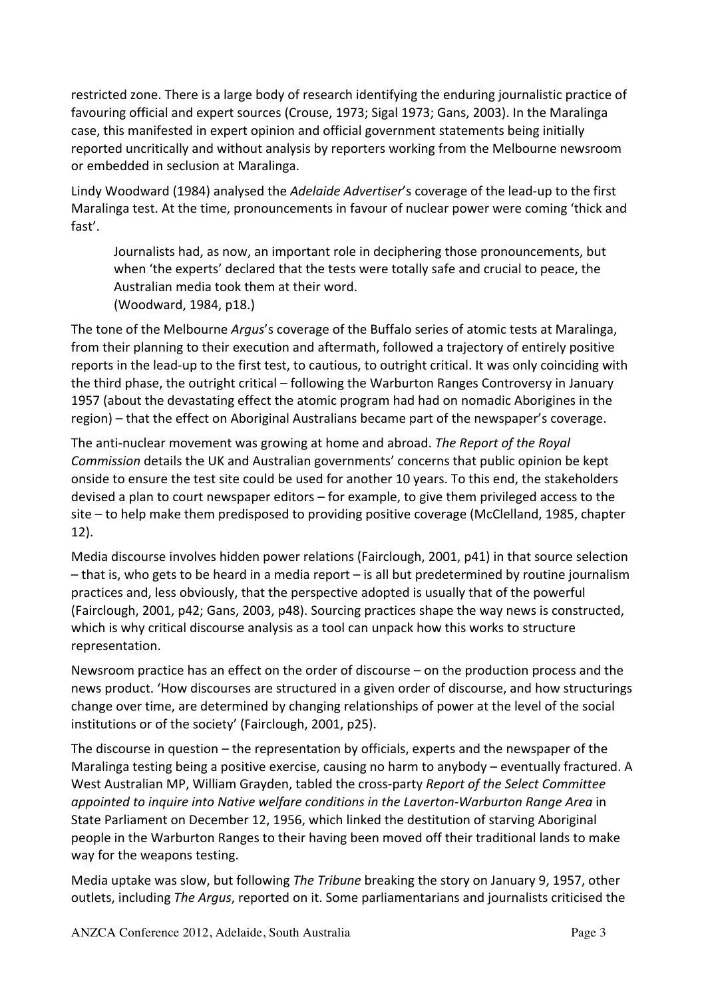restricted zone. There is a large body of research identifying the enduring journalistic practice of favouring official and expert sources (Crouse, 1973; Sigal 1973; Gans, 2003). In the Maralinga case, this manifested in expert opinion and official government statements being initially reported uncritically and without analysis by reporters working from the Melbourne newsroom or embedded in seclusion at Maralinga.

Lindy Woodward (1984) analysed the *Adelaide Advertiser's* coverage of the lead-up to the first Maralinga test. At the time, pronouncements in favour of nuclear power were coming 'thick and fast'.

Journalists had, as now, an important role in deciphering those pronouncements, but when 'the experts' declared that the tests were totally safe and crucial to peace, the Australian media took them at their word. (Woodward, 1984, p18.)

The tone of the Melbourne *Argus's* coverage of the Buffalo series of atomic tests at Maralinga, from their planning to their execution and aftermath, followed a trajectory of entirely positive reports in the lead-up to the first test, to cautious, to outright critical. It was only coinciding with the third phase, the outright critical – following the Warburton Ranges Controversy in January 1957 (about the devastating effect the atomic program had had on nomadic Aborigines in the region) – that the effect on Aboriginal Australians became part of the newspaper's coverage.

The anti-nuclear movement was growing at home and abroad. *The Report of the Royal Commission* details the UK and Australian governments' concerns that public opinion be kept onside to ensure the test site could be used for another 10 years. To this end, the stakeholders devised a plan to court newspaper editors – for example, to give them privileged access to the  $site$  – to help make them predisposed to providing positive coverage (McClelland, 1985, chapter 12).

Media discourse involves hidden power relations (Fairclough, 2001, p41) in that source selection  $-$  that is, who gets to be heard in a media report  $-$  is all but predetermined by routine journalism practices and, less obviously, that the perspective adopted is usually that of the powerful (Fairclough, 2001, p42; Gans, 2003, p48). Sourcing practices shape the way news is constructed, which is why critical discourse analysis as a tool can unpack how this works to structure representation.

Newsroom practice has an effect on the order of discourse – on the production process and the news product. 'How discourses are structured in a given order of discourse, and how structurings change over time, are determined by changing relationships of power at the level of the social institutions or of the society' (Fairclough, 2001, p25).

The discourse in question  $-$  the representation by officials, experts and the newspaper of the Maralinga testing being a positive exercise, causing no harm to anybody – eventually fractured. A West Australian MP, William Grayden, tabled the cross-party *Report of the Select Committee appointed to inquire into Native welfare conditions in the Laverton-Warburton Range Area* in State Parliament on December 12, 1956, which linked the destitution of starving Aboriginal people in the Warburton Ranges to their having been moved off their traditional lands to make way for the weapons testing.

Media uptake was slow, but following *The Tribune* breaking the story on January 9, 1957, other outlets, including *The Argus*, reported on it. Some parliamentarians and journalists criticised the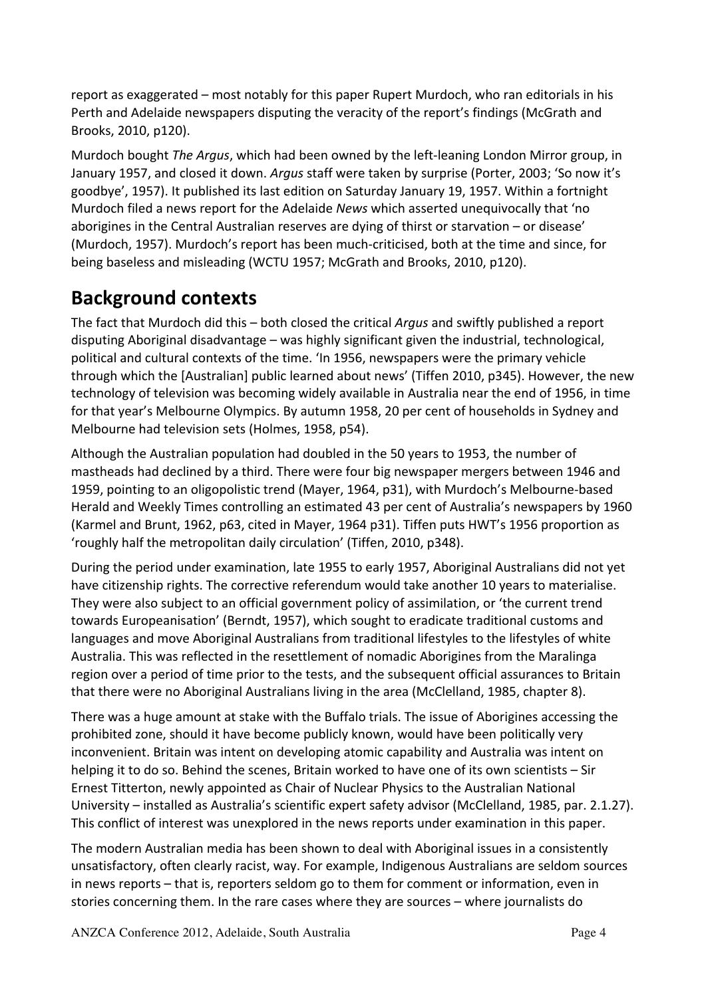report as exaggerated – most notably for this paper Rupert Murdoch, who ran editorials in his Perth and Adelaide newspapers disputing the veracity of the report's findings (McGrath and Brooks, 2010, p120).

Murdoch bought *The Argus*, which had been owned by the left-leaning London Mirror group, in January 1957, and closed it down. *Argus* staff were taken by surprise (Porter, 2003; 'So now it's goodbye', 1957). It published its last edition on Saturday January 19, 1957. Within a fortnight Murdoch filed a news report for the Adelaide *News* which asserted unequivocally that 'no aborigines in the Central Australian reserves are dying of thirst or starvation - or disease' (Murdoch, 1957). Murdoch's report has been much-criticised, both at the time and since, for being baseless and misleading (WCTU 1957; McGrath and Brooks, 2010, p120).

## **Background contexts**

The fact that Murdoch did this – both closed the critical *Argus* and swiftly published a report disputing Aboriginal disadvantage – was highly significant given the industrial, technological, political and cultural contexts of the time. 'In 1956, newspapers were the primary vehicle through which the [Australian] public learned about news' (Tiffen 2010, p345). However, the new technology of television was becoming widely available in Australia near the end of 1956, in time for that year's Melbourne Olympics. By autumn 1958, 20 per cent of households in Sydney and Melbourne had television sets (Holmes, 1958, p54).

Although the Australian population had doubled in the 50 years to 1953, the number of mastheads had declined by a third. There were four big newspaper mergers between 1946 and 1959, pointing to an oligopolistic trend (Mayer, 1964, p31), with Murdoch's Melbourne-based Herald and Weekly Times controlling an estimated 43 per cent of Australia's newspapers by 1960 (Karmel and Brunt, 1962, p63, cited in Mayer, 1964 p31). Tiffen puts HWT's 1956 proportion as 'roughly half the metropolitan daily circulation' (Tiffen, 2010, p348).

During the period under examination, late 1955 to early 1957, Aboriginal Australians did not yet have citizenship rights. The corrective referendum would take another 10 years to materialise. They were also subject to an official government policy of assimilation, or 'the current trend towards Europeanisation' (Berndt, 1957), which sought to eradicate traditional customs and languages and move Aboriginal Australians from traditional lifestyles to the lifestyles of white Australia. This was reflected in the resettlement of nomadic Aborigines from the Maralinga region over a period of time prior to the tests, and the subsequent official assurances to Britain that there were no Aboriginal Australians living in the area (McClelland, 1985, chapter 8).

There was a huge amount at stake with the Buffalo trials. The issue of Aborigines accessing the prohibited zone, should it have become publicly known, would have been politically very inconvenient. Britain was intent on developing atomic capability and Australia was intent on helping it to do so. Behind the scenes, Britain worked to have one of its own scientists - Sir Ernest Titterton, newly appointed as Chair of Nuclear Physics to the Australian National University – installed as Australia's scientific expert safety advisor (McClelland, 1985, par. 2.1.27). This conflict of interest was unexplored in the news reports under examination in this paper.

The modern Australian media has been shown to deal with Aboriginal issues in a consistently unsatisfactory, often clearly racist, way. For example, Indigenous Australians are seldom sources in news reports – that is, reporters seldom go to them for comment or information, even in stories concerning them. In the rare cases where they are sources – where journalists do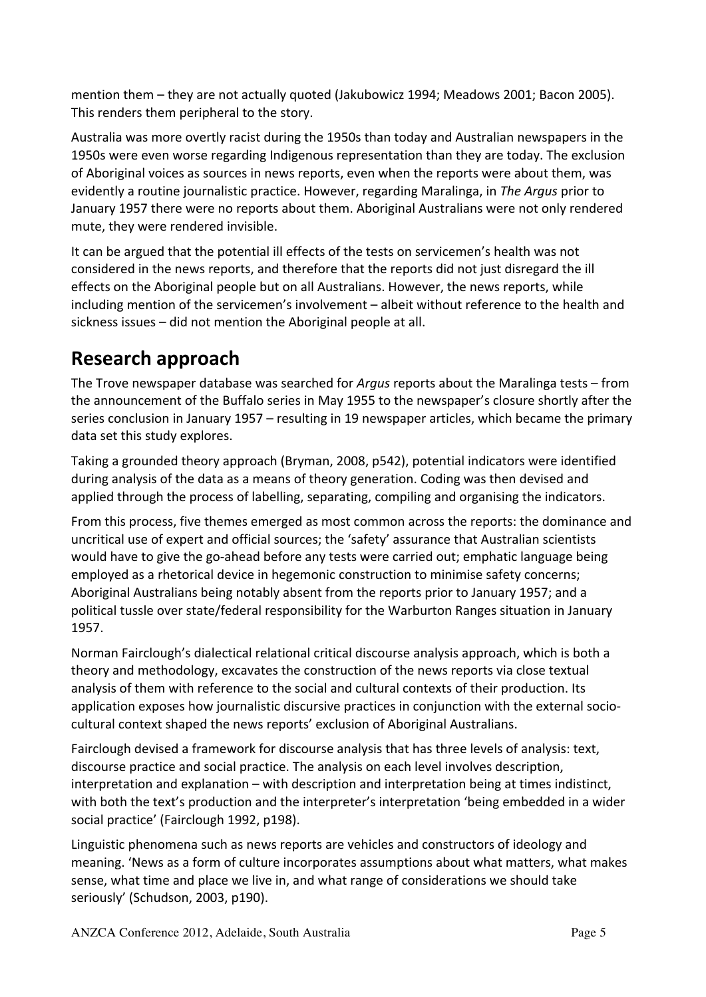mention them – they are not actually quoted (Jakubowicz 1994; Meadows 2001; Bacon 2005). This renders them peripheral to the story.

Australia was more overtly racist during the 1950s than today and Australian newspapers in the 1950s were even worse regarding Indigenous representation than they are today. The exclusion of Aboriginal voices as sources in news reports, even when the reports were about them, was evidently a routine journalistic practice. However, regarding Maralinga, in *The Argus* prior to January 1957 there were no reports about them. Aboriginal Australians were not only rendered mute, they were rendered invisible.

It can be argued that the potential ill effects of the tests on servicemen's health was not considered in the news reports, and therefore that the reports did not just disregard the ill effects on the Aboriginal people but on all Australians. However, the news reports, while including mention of the servicemen's involvement – albeit without reference to the health and sickness issues  $-$  did not mention the Aboriginal people at all.

### **Research approach**

The Trove newspaper database was searched for *Argus* reports about the Maralinga tests – from the announcement of the Buffalo series in May 1955 to the newspaper's closure shortly after the series conclusion in January 1957 – resulting in 19 newspaper articles, which became the primary data set this study explores.

Taking a grounded theory approach (Bryman, 2008, p542), potential indicators were identified during analysis of the data as a means of theory generation. Coding was then devised and applied through the process of labelling, separating, compiling and organising the indicators.

From this process, five themes emerged as most common across the reports: the dominance and uncritical use of expert and official sources; the 'safety' assurance that Australian scientists would have to give the go-ahead before any tests were carried out; emphatic language being employed as a rhetorical device in hegemonic construction to minimise safety concerns; Aboriginal Australians being notably absent from the reports prior to January 1957; and a political tussle over state/federal responsibility for the Warburton Ranges situation in January 1957.

Norman Fairclough's dialectical relational critical discourse analysis approach, which is both a theory and methodology, excavates the construction of the news reports via close textual analysis of them with reference to the social and cultural contexts of their production. Its application exposes how journalistic discursive practices in conjunction with the external sociocultural context shaped the news reports' exclusion of Aboriginal Australians.

Fairclough devised a framework for discourse analysis that has three levels of analysis: text, discourse practice and social practice. The analysis on each level involves description, interpretation and explanation – with description and interpretation being at times indistinct, with both the text's production and the interpreter's interpretation 'being embedded in a wider social practice' (Fairclough 1992, p198).

Linguistic phenomena such as news reports are vehicles and constructors of ideology and meaning. 'News as a form of culture incorporates assumptions about what matters, what makes sense, what time and place we live in, and what range of considerations we should take seriously' (Schudson, 2003, p190).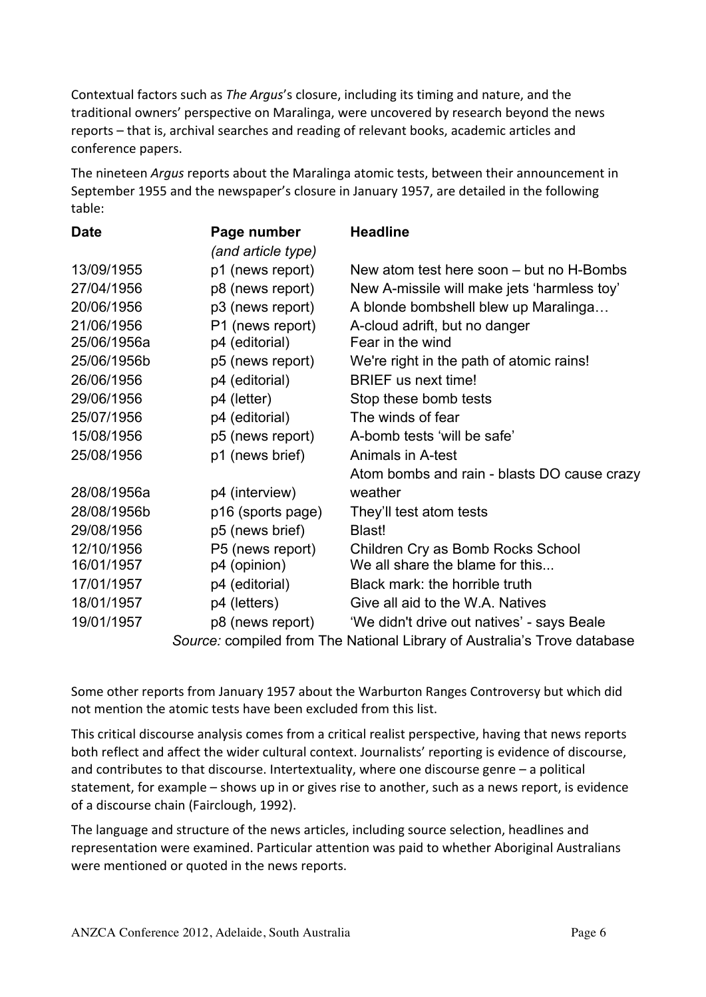Contextual factors such as *The Argus's* closure, including its timing and nature, and the traditional owners' perspective on Maralinga, were uncovered by research beyond the news reports – that is, archival searches and reading of relevant books, academic articles and conference papers.

The nineteen *Argus* reports about the Maralinga atomic tests, between their announcement in September 1955 and the newspaper's closure in January 1957, are detailed in the following table:

| <b>Date</b>                                                              | Page number        | <b>Headline</b>                             |
|--------------------------------------------------------------------------|--------------------|---------------------------------------------|
|                                                                          | (and article type) |                                             |
| 13/09/1955                                                               | p1 (news report)   | New atom test here soon – but no H-Bombs    |
| 27/04/1956                                                               | p8 (news report)   | New A-missile will make jets 'harmless toy' |
| 20/06/1956                                                               | p3 (news report)   | A blonde bombshell blew up Maralinga        |
| 21/06/1956                                                               | P1 (news report)   | A-cloud adrift, but no danger               |
| 25/06/1956a                                                              | p4 (editorial)     | Fear in the wind                            |
| 25/06/1956b                                                              | p5 (news report)   | We're right in the path of atomic rains!    |
| 26/06/1956                                                               | p4 (editorial)     | <b>BRIEF</b> us next time!                  |
| 29/06/1956                                                               | p4 (letter)        | Stop these bomb tests                       |
| 25/07/1956                                                               | p4 (editorial)     | The winds of fear                           |
| 15/08/1956                                                               | p5 (news report)   | A-bomb tests 'will be safe'                 |
| 25/08/1956                                                               | p1 (news brief)    | Animals in A-test                           |
|                                                                          |                    | Atom bombs and rain - blasts DO cause crazy |
| 28/08/1956a                                                              | p4 (interview)     | weather                                     |
| 28/08/1956b                                                              | p16 (sports page)  | They'll test atom tests                     |
| 29/08/1956                                                               | p5 (news brief)    | Blast!                                      |
| 12/10/1956                                                               | P5 (news report)   | Children Cry as Bomb Rocks School           |
| 16/01/1957                                                               | p4 (opinion)       | We all share the blame for this             |
| 17/01/1957                                                               | p4 (editorial)     | Black mark: the horrible truth              |
| 18/01/1957                                                               | p4 (letters)       | Give all aid to the W.A. Natives            |
| 19/01/1957                                                               | p8 (news report)   | 'We didn't drive out natives' - says Beale  |
| Source: compiled from The National Library of Australia's Trove database |                    |                                             |

*Source:* complied from The National Library of Australia's Trove database

Some other reports from January 1957 about the Warburton Ranges Controversy but which did not mention the atomic tests have been excluded from this list.

This critical discourse analysis comes from a critical realist perspective, having that news reports both reflect and affect the wider cultural context. Journalists' reporting is evidence of discourse, and contributes to that discourse. Intertextuality, where one discourse genre  $-$  a political statement, for example – shows up in or gives rise to another, such as a news report, is evidence of a discourse chain (Fairclough, 1992).

The language and structure of the news articles, including source selection, headlines and representation were examined. Particular attention was paid to whether Aboriginal Australians were mentioned or quoted in the news reports.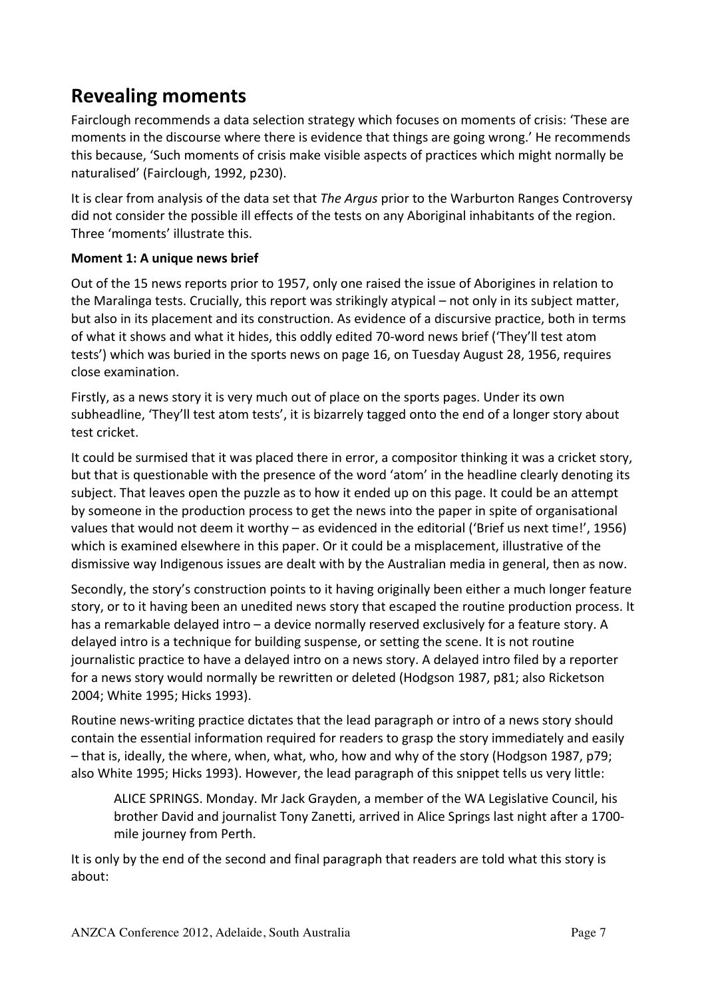### **Revealing moments**

Fairclough recommends a data selection strategy which focuses on moments of crisis: 'These are moments in the discourse where there is evidence that things are going wrong.' He recommends this because, 'Such moments of crisis make visible aspects of practices which might normally be naturalised' (Fairclough, 1992, p230).

It is clear from analysis of the data set that *The Argus* prior to the Warburton Ranges Controversy did not consider the possible ill effects of the tests on any Aboriginal inhabitants of the region. Three 'moments' illustrate this.

#### **Moment 1: A unique news brief**

Out of the 15 news reports prior to 1957, only one raised the issue of Aborigines in relation to the Maralinga tests. Crucially, this report was strikingly atypical – not only in its subject matter, but also in its placement and its construction. As evidence of a discursive practice, both in terms of what it shows and what it hides, this oddly edited 70-word news brief ('They'll test atom tests') which was buried in the sports news on page 16, on Tuesday August 28, 1956, requires close examination.

Firstly, as a news story it is very much out of place on the sports pages. Under its own subheadline, 'They'll test atom tests', it is bizarrely tagged onto the end of a longer story about test cricket.

It could be surmised that it was placed there in error, a compositor thinking it was a cricket story, but that is questionable with the presence of the word 'atom' in the headline clearly denoting its subject. That leaves open the puzzle as to how it ended up on this page. It could be an attempt by someone in the production process to get the news into the paper in spite of organisational values that would not deem it worthy – as evidenced in the editorial ('Brief us next time!', 1956) which is examined elsewhere in this paper. Or it could be a misplacement, illustrative of the dismissive way Indigenous issues are dealt with by the Australian media in general, then as now.

Secondly, the story's construction points to it having originally been either a much longer feature story, or to it having been an unedited news story that escaped the routine production process. It has a remarkable delayed intro – a device normally reserved exclusively for a feature story. A delayed intro is a technique for building suspense, or setting the scene. It is not routine journalistic practice to have a delayed intro on a news story. A delayed intro filed by a reporter for a news story would normally be rewritten or deleted (Hodgson 1987, p81; also Ricketson 2004; White 1995; Hicks 1993).

Routine news-writing practice dictates that the lead paragraph or intro of a news story should contain the essential information required for readers to grasp the story immediately and easily - that is, ideally, the where, when, what, who, how and why of the story (Hodgson 1987, p79; also White 1995; Hicks 1993). However, the lead paragraph of this snippet tells us very little:

ALICE SPRINGS. Monday. Mr Jack Grayden, a member of the WA Legislative Council, his brother David and journalist Tony Zanetti, arrived in Alice Springs last night after a 1700mile journey from Perth.

It is only by the end of the second and final paragraph that readers are told what this story is about: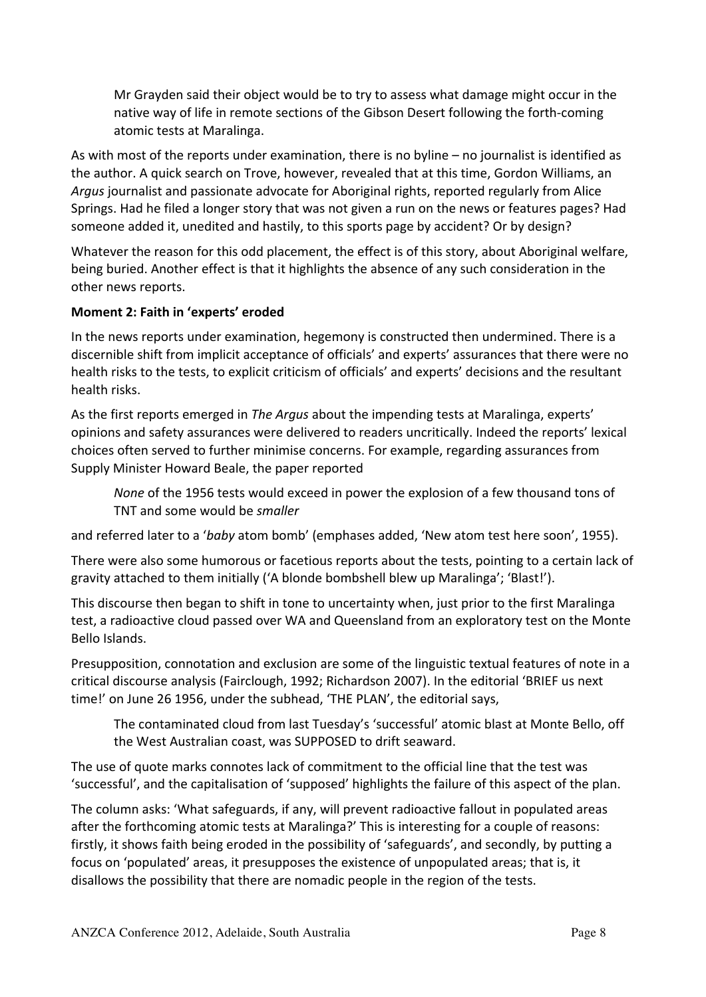Mr Grayden said their object would be to try to assess what damage might occur in the native way of life in remote sections of the Gibson Desert following the forth-coming atomic tests at Maralinga.

As with most of the reports under examination, there is no byline  $-$  no journalist is identified as the author. A quick search on Trove, however, revealed that at this time, Gordon Williams, an Argus journalist and passionate advocate for Aboriginal rights, reported regularly from Alice Springs. Had he filed a longer story that was not given a run on the news or features pages? Had someone added it, unedited and hastily, to this sports page by accident? Or by design?

Whatever the reason for this odd placement, the effect is of this story, about Aboriginal welfare, being buried. Another effect is that it highlights the absence of any such consideration in the other news reports.

#### **Moment 2: Faith in 'experts' eroded**

In the news reports under examination, hegemony is constructed then undermined. There is a discernible shift from implicit acceptance of officials' and experts' assurances that there were no health risks to the tests, to explicit criticism of officials' and experts' decisions and the resultant health risks.

As the first reports emerged in *The Argus* about the impending tests at Maralinga, experts' opinions and safety assurances were delivered to readers uncritically. Indeed the reports' lexical choices often served to further minimise concerns. For example, regarding assurances from Supply Minister Howard Beale, the paper reported

*None* of the 1956 tests would exceed in power the explosion of a few thousand tons of TNT and some would be *smaller* 

and referred later to a '*baby* atom bomb' (emphases added, 'New atom test here soon', 1955).

There were also some humorous or facetious reports about the tests, pointing to a certain lack of gravity attached to them initially ( $\Delta$  blonde bombshell blew up Maralinga'; 'Blast!').

This discourse then began to shift in tone to uncertainty when, just prior to the first Maralinga test, a radioactive cloud passed over WA and Queensland from an exploratory test on the Monte Bello Islands.

Presupposition, connotation and exclusion are some of the linguistic textual features of note in a critical discourse analysis (Fairclough, 1992; Richardson 2007). In the editorial 'BRIEF us next time!' on June 26 1956, under the subhead, 'THE PLAN', the editorial says,

The contaminated cloud from last Tuesday's 'successful' atomic blast at Monte Bello, off the West Australian coast, was SUPPOSED to drift seaward.

The use of quote marks connotes lack of commitment to the official line that the test was 'successful', and the capitalisation of 'supposed' highlights the failure of this aspect of the plan.

The column asks: 'What safeguards, if any, will prevent radioactive fallout in populated areas after the forthcoming atomic tests at Maralinga?' This is interesting for a couple of reasons: firstly, it shows faith being eroded in the possibility of 'safeguards', and secondly, by putting a focus on 'populated' areas, it presupposes the existence of unpopulated areas; that is, it disallows the possibility that there are nomadic people in the region of the tests.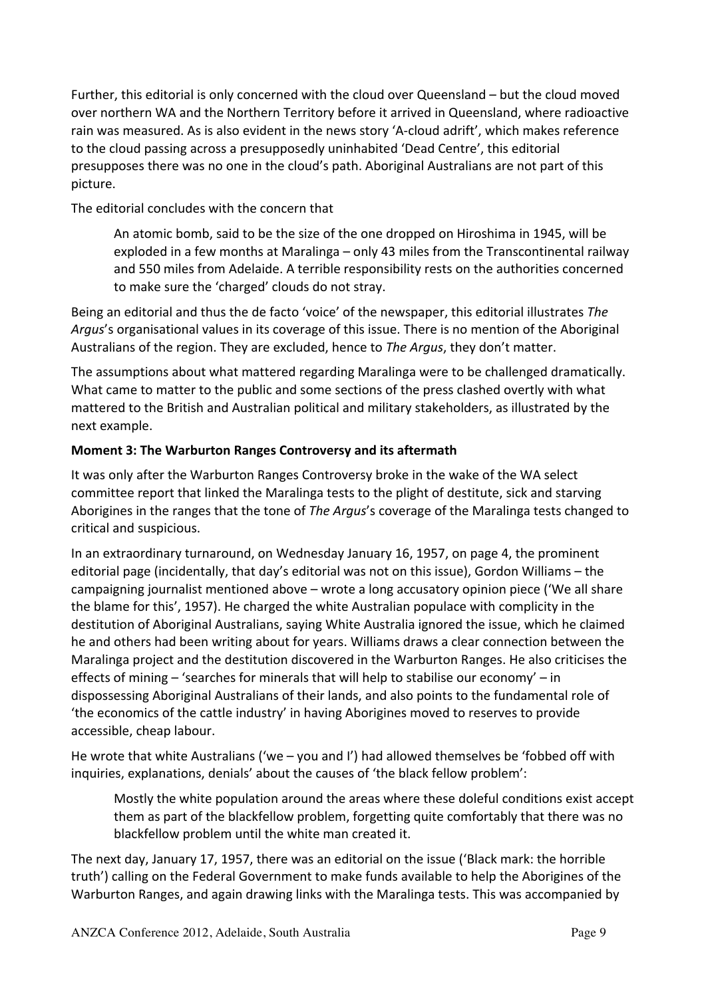Further, this editorial is only concerned with the cloud over Queensland – but the cloud moved over northern WA and the Northern Territory before it arrived in Queensland, where radioactive rain was measured. As is also evident in the news story 'A-cloud adrift', which makes reference to the cloud passing across a presupposedly uninhabited 'Dead Centre', this editorial presupposes there was no one in the cloud's path. Aboriginal Australians are not part of this picture.

The editorial concludes with the concern that

An atomic bomb, said to be the size of the one dropped on Hiroshima in 1945, will be exploded in a few months at Maralinga – only 43 miles from the Transcontinental railway and 550 miles from Adelaide. A terrible responsibility rests on the authorities concerned to make sure the 'charged' clouds do not stray.

Being an editorial and thus the de facto 'voice' of the newspaper, this editorial illustrates *The* Argus's organisational values in its coverage of this issue. There is no mention of the Aboriginal Australians of the region. They are excluded, hence to *The Argus*, they don't matter.

The assumptions about what mattered regarding Maralinga were to be challenged dramatically. What came to matter to the public and some sections of the press clashed overtly with what mattered to the British and Australian political and military stakeholders, as illustrated by the next example.

#### **Moment 3: The Warburton Ranges Controversy and its aftermath**

It was only after the Warburton Ranges Controversy broke in the wake of the WA select committee report that linked the Maralinga tests to the plight of destitute, sick and starving Aborigines in the ranges that the tone of *The Argus's* coverage of the Maralinga tests changed to critical and suspicious.

In an extraordinary turnaround, on Wednesday January 16, 1957, on page 4, the prominent editorial page (incidentally, that day's editorial was not on this issue), Gordon Williams – the campaigning journalist mentioned above – wrote a long accusatory opinion piece ('We all share the blame for this', 1957). He charged the white Australian populace with complicity in the destitution of Aboriginal Australians, saying White Australia ignored the issue, which he claimed he and others had been writing about for years. Williams draws a clear connection between the Maralinga project and the destitution discovered in the Warburton Ranges. He also criticises the effects of mining – 'searches for minerals that will help to stabilise our economy' – in dispossessing Aboriginal Australians of their lands, and also points to the fundamental role of 'the economics of the cattle industry' in having Aborigines moved to reserves to provide accessible, cheap labour.

He wrote that white Australians ('we – you and I') had allowed themselves be 'fobbed off with inquiries, explanations, denials' about the causes of 'the black fellow problem':

Mostly the white population around the areas where these doleful conditions exist accept them as part of the blackfellow problem, forgetting quite comfortably that there was no blackfellow problem until the white man created it.

The next day, January 17, 1957, there was an editorial on the issue ('Black mark: the horrible truth') calling on the Federal Government to make funds available to help the Aborigines of the Warburton Ranges, and again drawing links with the Maralinga tests. This was accompanied by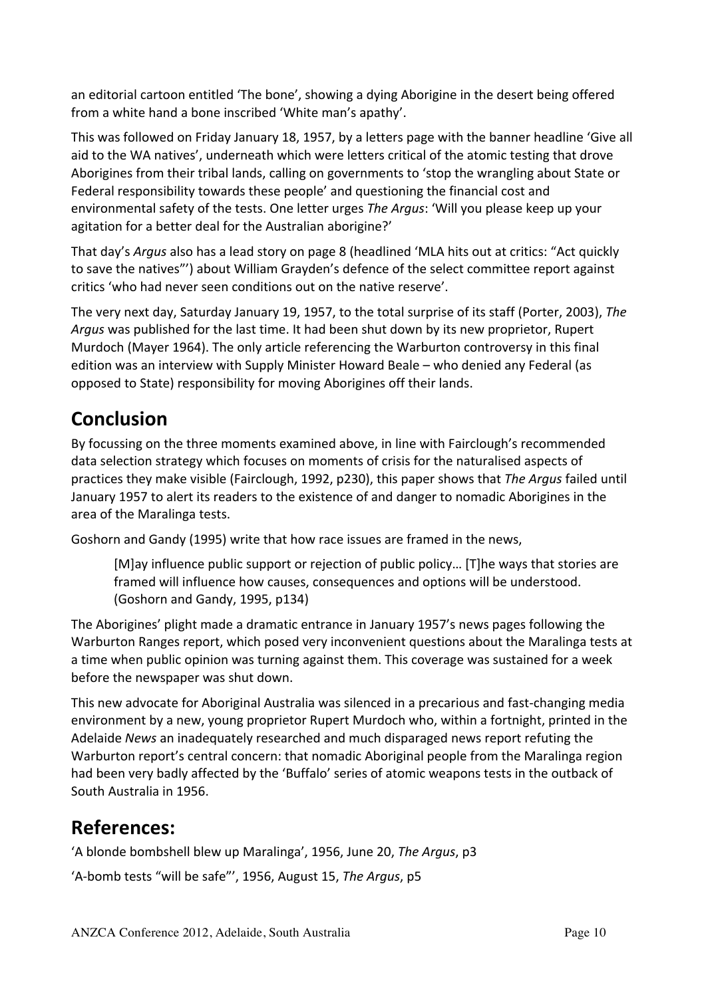an editorial cartoon entitled 'The bone', showing a dying Aborigine in the desert being offered from a white hand a bone inscribed 'White man's apathy'.

This was followed on Friday January 18, 1957, by a letters page with the banner headline 'Give all aid to the WA natives', underneath which were letters critical of the atomic testing that drove Aborigines from their tribal lands, calling on governments to 'stop the wrangling about State or Federal responsibility towards these people' and questioning the financial cost and environmental safety of the tests. One letter urges *The Argus*: 'Will you please keep up your agitation for a better deal for the Australian aborigine?'

That day's *Argus* also has a lead story on page 8 (headlined 'MLA hits out at critics: "Act quickly to save the natives"') about William Grayden's defence of the select committee report against critics 'who had never seen conditions out on the native reserve'.

The very next day, Saturday January 19, 1957, to the total surprise of its staff (Porter, 2003), The Argus was published for the last time. It had been shut down by its new proprietor, Rupert Murdoch (Mayer 1964). The only article referencing the Warburton controversy in this final edition was an interview with Supply Minister Howard Beale – who denied any Federal (as opposed to State) responsibility for moving Aborigines off their lands.

# **Conclusion**

By focussing on the three moments examined above, in line with Fairclough's recommended data selection strategy which focuses on moments of crisis for the naturalised aspects of practices they make visible (Fairclough, 1992, p230), this paper shows that *The Argus* failed until January 1957 to alert its readers to the existence of and danger to nomadic Aborigines in the area of the Maralinga tests.

Goshorn and Gandy (1995) write that how race issues are framed in the news,

[M]ay influence public support or rejection of public policy... [T]he ways that stories are framed will influence how causes, consequences and options will be understood. (Goshorn and Gandy, 1995, p134)

The Aborigines' plight made a dramatic entrance in January 1957's news pages following the Warburton Ranges report, which posed very inconvenient questions about the Maralinga tests at a time when public opinion was turning against them. This coverage was sustained for a week before the newspaper was shut down.

This new advocate for Aboriginal Australia was silenced in a precarious and fast-changing media environment by a new, young proprietor Rupert Murdoch who, within a fortnight, printed in the Adelaide *News* an inadequately researched and much disparaged news report refuting the Warburton report's central concern: that nomadic Aboriginal people from the Maralinga region had been very badly affected by the 'Buffalo' series of atomic weapons tests in the outback of South Australia in 1956.

### **References:**

'A blonde bombshell blew up Maralinga', 1956, June 20, The Argus, p3

'A-bomb tests "will be safe"', 1956, August 15, The Argus, p5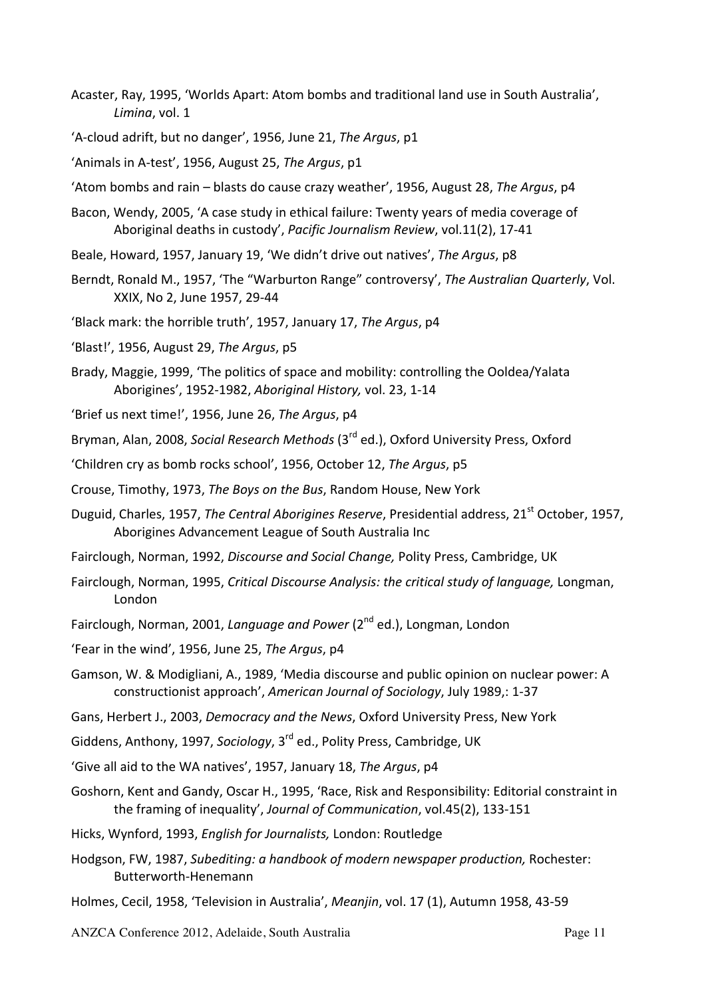- Acaster, Ray, 1995, 'Worlds Apart: Atom bombs and traditional land use in South Australia', Limina, vol. 1
- 'A-cloud adrift, but no danger', 1956, June 21, The Argus, p1
- 'Animals in A-test', 1956, August 25, *The Argus*, p1
- 'Atom bombs and rain blasts do cause crazy weather', 1956, August 28, The Argus, p4
- Bacon, Wendy, 2005, 'A case study in ethical failure: Twenty years of media coverage of Aboriginal deaths in custody', Pacific Journalism Review, vol.11(2), 17-41
- Beale, Howard, 1957, January 19, 'We didn't drive out natives', The Argus, p8
- Berndt, Ronald M., 1957, 'The "Warburton Range" controversy', *The Australian Quarterly*, Vol. XXIX, No 2, June 1957, 29-44
- 'Black mark: the horrible truth', 1957, January 17, The Argus, p4
- 'Blast!', 1956, August 29, *The Argus*, p5
- Brady, Maggie, 1999, 'The politics of space and mobility: controlling the Ooldea/Yalata Aborigines', 1952-1982, *Aboriginal History*, vol. 23, 1-14
- 'Brief us next time!', 1956, June 26, *The Argus*, p4
- Bryman, Alan, 2008, *Social Research Methods* (3<sup>rd</sup> ed.), Oxford University Press, Oxford
- 'Children cry as bomb rocks school', 1956, October 12, *The Argus*, p5
- Crouse, Timothy, 1973, *The Boys on the Bus*, Random House, New York
- Duguid, Charles, 1957, *The Central Aborigines Reserve*, Presidential address, 21<sup>st</sup> October, 1957, Aborigines Advancement League of South Australia Inc
- Fairclough, Norman, 1992, *Discourse and Social Change*, Polity Press, Cambridge, UK
- Fairclough, Norman, 1995, *Critical Discourse Analysis: the critical study of language*, Longman, London
- Fairclough, Norman, 2001, *Language and Power* (2<sup>nd</sup> ed.), Longman, London
- 'Fear in the wind', 1956, June 25, *The Argus*, p4
- Gamson, W. & Modigliani, A., 1989, 'Media discourse and public opinion on nuclear power: A constructionist approach', American Journal of Sociology, July 1989,: 1-37
- Gans, Herbert J., 2003, *Democracy and the News*, Oxford University Press, New York
- Giddens, Anthony, 1997, *Sociology*, 3<sup>rd</sup> ed., Polity Press, Cambridge, UK
- 'Give all aid to the WA natives', 1957, January 18, The Argus, p4
- Goshorn, Kent and Gandy, Oscar H., 1995, 'Race, Risk and Responsibility: Editorial constraint in the framing of inequality', *Journal of Communication*, vol.45(2), 133-151
- Hicks, Wynford, 1993, *English for Journalists*, London: Routledge
- Hodgson, FW, 1987, *Subediting: a handbook of modern newspaper production*, Rochester: Butterworth-Henemann
- Holmes, Cecil, 1958, 'Television in Australia', *Meanjin*, vol. 17 (1), Autumn 1958, 43-59

ANZCA Conference 2012, Adelaide, South Australia Page 11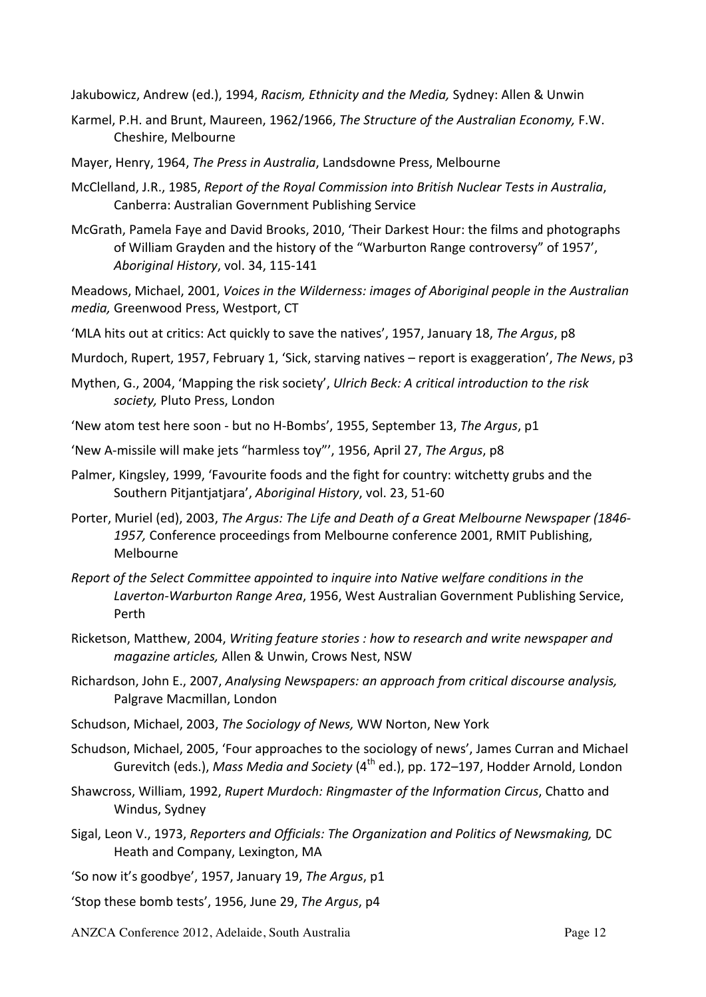Jakubowicz, Andrew (ed.), 1994, *Racism, Ethnicity and the Media,* Sydney: Allen & Unwin

- Karmel, P.H. and Brunt, Maureen, 1962/1966, *The Structure of the Australian Economy*, F.W. Cheshire, Melbourne
- Mayer, Henry, 1964, *The Press in Australia*, Landsdowne Press, Melbourne
- McClelland, J.R., 1985, *Report of the Royal Commission into British Nuclear Tests in Australia*, Canberra: Australian Government Publishing Service
- McGrath, Pamela Faye and David Brooks, 2010, 'Their Darkest Hour: the films and photographs of William Grayden and the history of the "Warburton Range controversy" of 1957', *Aboriginal History*, vol. 34, 115-141

Meadows, Michael, 2001, Voices in the Wilderness: images of Aboriginal people in the Australian *media*, Greenwood Press, Westport, CT

- 'MLA hits out at critics: Act quickly to save the natives', 1957, January 18, The Argus, p8
- Murdoch, Rupert, 1957, February 1, 'Sick, starving natives report is exaggeration', The News, p3
- Mythen, G., 2004, 'Mapping the risk society', *Ulrich Beck: A critical introduction to the risk* society, Pluto Press, London
- 'New atom test here soon but no H-Bombs', 1955, September 13, The Argus, p1
- 'New A-missile will make jets "harmless toy"', 1956, April 27, *The Argus*, p8
- Palmer, Kingsley, 1999, 'Favourite foods and the fight for country: witchetty grubs and the Southern Pitjantjatjara', Aboriginal History, vol. 23, 51-60
- Porter, Muriel (ed), 2003, *The Argus: The Life and Death of a Great Melbourne Newspaper (1846-*1957, Conference proceedings from Melbourne conference 2001, RMIT Publishing, Melbourne
- *Report of the Select Committee appointed to inquire into Native welfare conditions in the* Laverton-Warburton Range Area, 1956, West Australian Government Publishing Service, Perth
- Ricketson, Matthew, 2004, *Writing feature stories : how to research and write newspaper and magazine articles, Allen & Unwin, Crows Nest, NSW*
- Richardson, John E., 2007, *Analysing Newspapers: an approach from critical discourse analysis,* Palgrave Macmillan, London
- Schudson, Michael, 2003, *The Sociology of News,* WW Norton, New York
- Schudson, Michael, 2005, 'Four approaches to the sociology of news', James Curran and Michael Gurevitch (eds.), *Mass Media and Society* (4<sup>th</sup> ed.), pp. 172–197, Hodder Arnold, London
- Shawcross, William, 1992, *Rupert Murdoch: Ringmaster of the Information Circus*, Chatto and Windus, Sydney
- Sigal, Leon V., 1973, *Reporters and Officials: The Organization and Politics of Newsmaking, DC* Heath and Company, Lexington, MA
- 'So now it's goodbye', 1957, January 19, *The Argus*, p1
- 'Stop these bomb tests', 1956, June 29, *The Argus*, p4
- ANZCA Conference 2012, Adelaide, South Australia Page 12